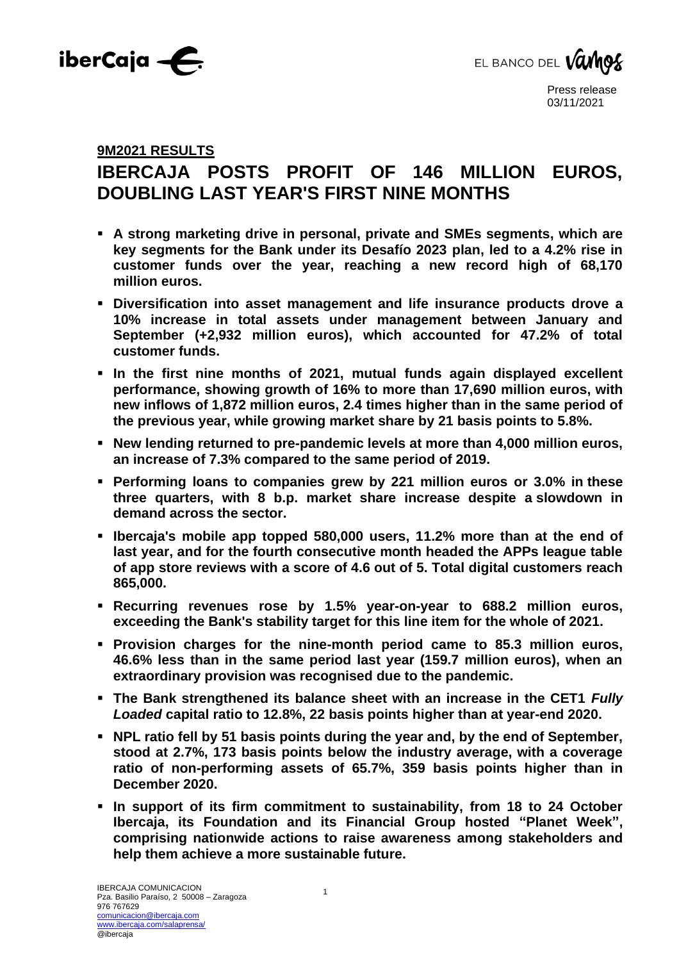



# **9M2021 RESULTS**

# **IBERCAJA POSTS PROFIT OF 146 MILLION EUROS, DOUBLING LAST YEAR'S FIRST NINE MONTHS**

- **A strong marketing drive in personal, private and SMEs segments, which are key segments for the Bank under its Desafío 2023 plan, led to a 4.2% rise in customer funds over the year, reaching a new record high of 68,170 million euros.**
- **Diversification into asset management and life insurance products drove a 10% increase in total assets under management between January and September (+2,932 million euros), which accounted for 47.2% of total customer funds.**
- **In the first nine months of 2021, mutual funds again displayed excellent performance, showing growth of 16% to more than 17,690 million euros, with new inflows of 1,872 million euros, 2.4 times higher than in the same period of the previous year, while growing market share by 21 basis points to 5.8%.**
- **New lending returned to pre-pandemic levels at more than 4,000 million euros, an increase of 7.3% compared to the same period of 2019.**
- **Performing loans to companies grew by 221 million euros or 3.0% in these three quarters, with 8 b.p. market share increase despite a slowdown in demand across the sector.**
- **Ibercaja's mobile app topped 580,000 users, 11.2% more than at the end of last year, and for the fourth consecutive month headed the APPs league table of app store reviews with a score of 4.6 out of 5. Total digital customers reach 865,000.**
- **Recurring revenues rose by 1.5% year-on-year to 688.2 million euros, exceeding the Bank's stability target for this line item for the whole of 2021.**
- **Provision charges for the nine-month period came to 85.3 million euros, 46.6% less than in the same period last year (159.7 million euros), when an extraordinary provision was recognised due to the pandemic.**
- **The Bank strengthened its balance sheet with an increase in the CET1** *Fully Loaded* **capital ratio to 12.8%, 22 basis points higher than at year-end 2020.**
- **NPL ratio fell by 51 basis points during the year and, by the end of September, stood at 2.7%, 173 basis points below the industry average, with a coverage ratio of non-performing assets of 65.7%, 359 basis points higher than in December 2020.**
- **In support of its firm commitment to sustainability, from 18 to 24 October Ibercaja, its Foundation and its Financial Group hosted "Planet Week", comprising nationwide actions to raise awareness among stakeholders and help them achieve a more sustainable future.**

1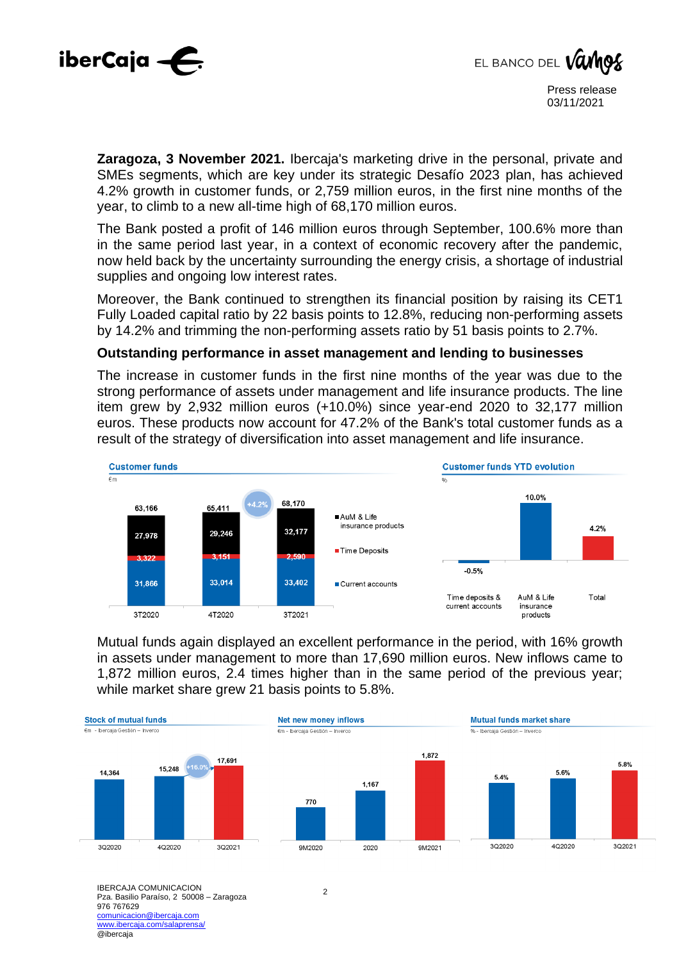



**Zaragoza, 3 November 2021.** Ibercaja's marketing drive in the personal, private and SMEs segments, which are key under its strategic Desafío 2023 plan, has achieved 4.2% growth in customer funds, or 2,759 million euros, in the first nine months of the year, to climb to a new all-time high of 68,170 million euros.

The Bank posted a profit of 146 million euros through September, 100.6% more than in the same period last year, in a context of economic recovery after the pandemic, now held back by the uncertainty surrounding the energy crisis, a shortage of industrial supplies and ongoing low interest rates.

Moreover, the Bank continued to strengthen its financial position by raising its CET1 Fully Loaded capital ratio by 22 basis points to 12.8%, reducing non-performing assets by 14.2% and trimming the non-performing assets ratio by 51 basis points to 2.7%.

#### **Outstanding performance in asset management and lending to businesses**

The increase in customer funds in the first nine months of the year was due to the strong performance of assets under management and life insurance products. The line item grew by 2,932 million euros (+10.0%) since year-end 2020 to 32,177 million euros. These products now account for 47.2% of the Bank's total customer funds as a result of the strategy of diversification into asset management and life insurance.



Mutual funds again displayed an excellent performance in the period, with 16% growth in assets under management to more than 17,690 million euros. New inflows came to 1,872 million euros, 2.4 times higher than in the same period of the previous year; while market share grew 21 basis points to 5.8%.



IBERCAJA COMUNICACION Pza. Basilio Paraíso, 2 50008 – Zaragoza 976 767629 comunicacion@ibercaja.com www.ibercaja.com/salaprensa/ @ibercaja

2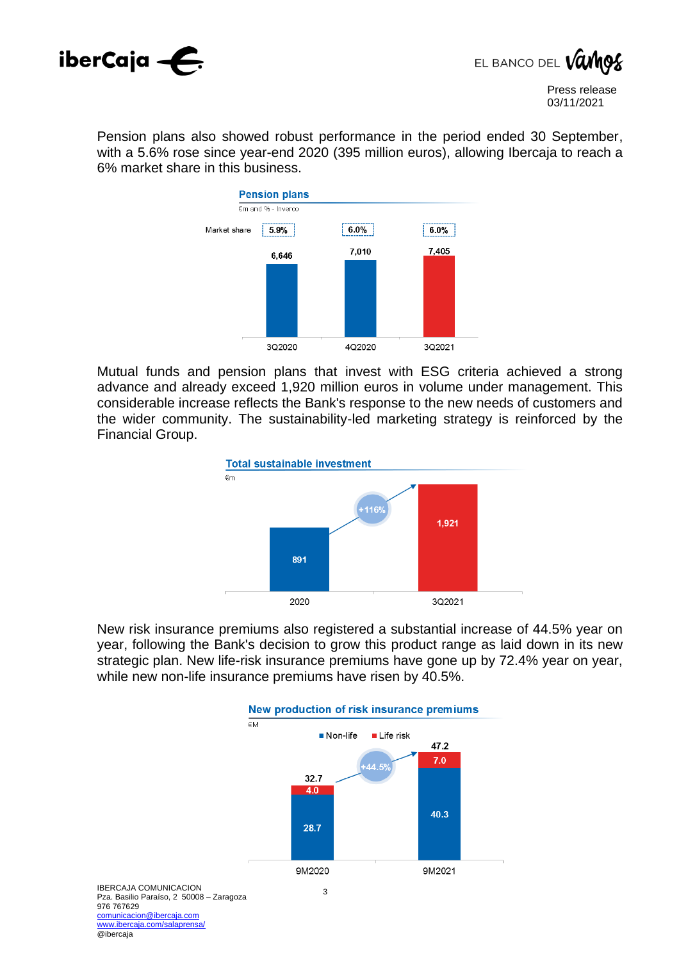



Pension plans also showed robust performance in the period ended 30 September, with a 5.6% rose since year-end 2020 (395 million euros), allowing Ibercaja to reach a 6% market share in this business.



Mutual funds and pension plans that invest with ESG criteria achieved a strong advance and already exceed 1,920 million euros in volume under management. This considerable increase reflects the Bank's response to the new needs of customers and the wider community. The sustainability-led marketing strategy is reinforced by the Financial Group.



New risk insurance premiums also registered a substantial increase of 44.5% year on year, following the Bank's decision to grow this product range as laid down in its new strategic plan. New life-risk insurance premiums have gone up by 72.4% year on year, while new non-life insurance premiums have risen by 40.5%.



@ibercaja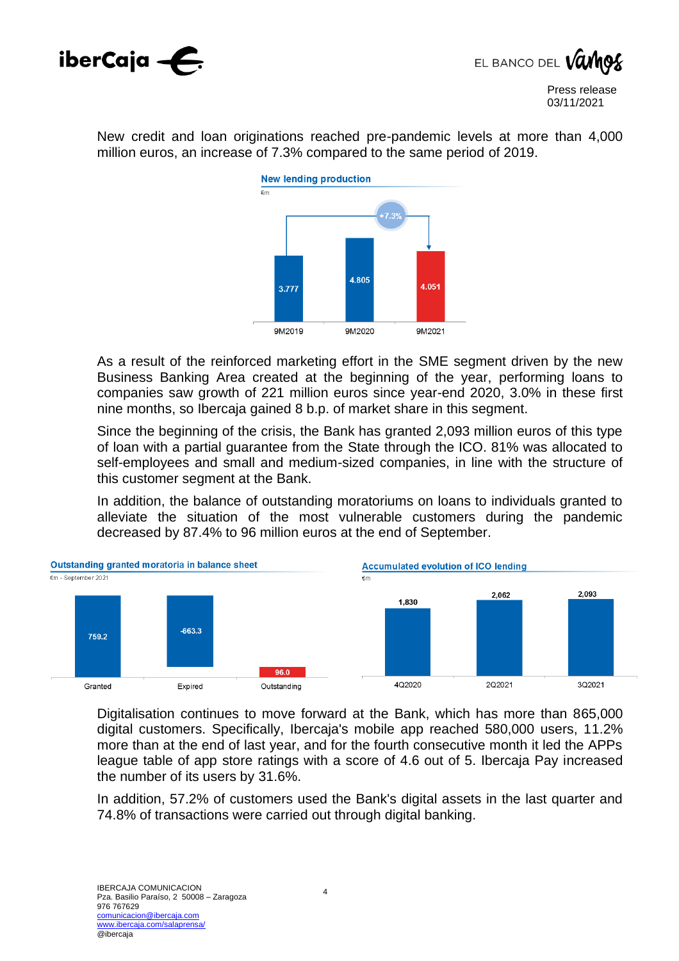

EL BANCO DEL VO

New credit and loan originations reached pre-pandemic levels at more than 4,000 million euros, an increase of 7.3% compared to the same period of 2019.



As a result of the reinforced marketing effort in the SME segment driven by the new Business Banking Area created at the beginning of the year, performing loans to companies saw growth of 221 million euros since year-end 2020, 3.0% in these first nine months, so Ibercaja gained 8 b.p. of market share in this segment.

Since the beginning of the crisis, the Bank has granted 2,093 million euros of this type of loan with a partial guarantee from the State through the ICO. 81% was allocated to self-employees and small and medium-sized companies, in line with the structure of this customer segment at the Bank.

In addition, the balance of outstanding moratoriums on loans to individuals granted to alleviate the situation of the most vulnerable customers during the pandemic decreased by 87.4% to 96 million euros at the end of September.



Digitalisation continues to move forward at the Bank, which has more than 865,000 digital customers. Specifically, Ibercaja's mobile app reached 580,000 users, 11.2% more than at the end of last year, and for the fourth consecutive month it led the APPs league table of app store ratings with a score of 4.6 out of 5. Ibercaja Pay increased the number of its users by 31.6%.

In addition, 57.2% of customers used the Bank's digital assets in the last quarter and 74.8% of transactions were carried out through digital banking.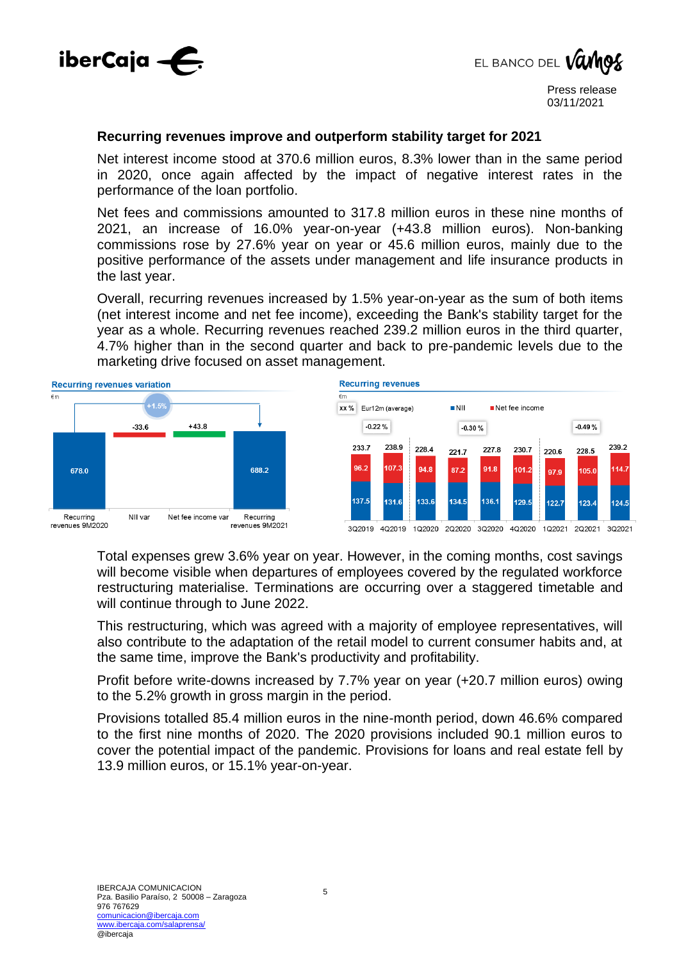

EL BANCO DEL VO

#### **Recurring revenues improve and outperform stability target for 2021**

Net interest income stood at 370.6 million euros, 8.3% lower than in the same period in 2020, once again affected by the impact of negative interest rates in the performance of the loan portfolio.

Net fees and commissions amounted to 317.8 million euros in these nine months of 2021, an increase of 16.0% year-on-year (+43.8 million euros). Non-banking commissions rose by 27.6% year on year or 45.6 million euros, mainly due to the positive performance of the assets under management and life insurance products in the last year.

Overall, recurring revenues increased by 1.5% year-on-year as the sum of both items (net interest income and net fee income), exceeding the Bank's stability target for the year as a whole. Recurring revenues reached 239.2 million euros in the third quarter, 4.7% higher than in the second quarter and back to pre-pandemic levels due to the marketing drive focused on asset management.



**Recurring revenues** 



Total expenses grew 3.6% year on year. However, in the coming months, cost savings will become visible when departures of employees covered by the regulated workforce restructuring materialise. Terminations are occurring over a staggered timetable and will continue through to June 2022.

This restructuring, which was agreed with a majority of employee representatives, will also contribute to the adaptation of the retail model to current consumer habits and, at the same time, improve the Bank's productivity and profitability.

Profit before write-downs increased by 7.7% year on year (+20.7 million euros) owing to the 5.2% growth in gross margin in the period.

Provisions totalled 85.4 million euros in the nine-month period, down 46.6% compared to the first nine months of 2020. The 2020 provisions included 90.1 million euros to cover the potential impact of the pandemic. Provisions for loans and real estate fell by 13.9 million euros, or 15.1% year-on-year.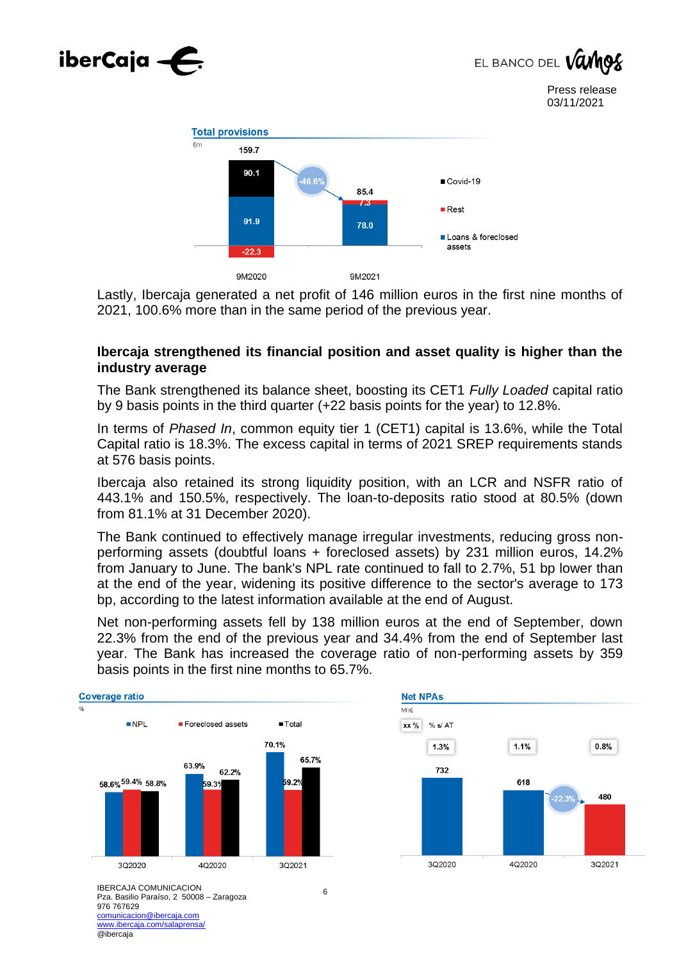





Lastly, Ibercaja generated a net profit of 146 million euros in the first nine months of 2021, 100.6% more than in the same period of the previous year.

#### **Ibercaja strengthened its financial position and asset quality is higher than the industry average**

The Bank strengthened its balance sheet, boosting its CET1 *Fully Loaded* capital ratio by 9 basis points in the third quarter (+22 basis points for the year) to 12.8%.

In terms of *Phased In*, common equity tier 1 (CET1) capital is 13.6%, while the Total Capital ratio is 18.3%. The excess capital in terms of 2021 SREP requirements stands at 576 basis points.

Ibercaja also retained its strong liquidity position, with an LCR and NSFR ratio of 443.1% and 150.5%, respectively. The loan-to-deposits ratio stood at 80.5% (down from 81.1% at 31 December 2020).

The Bank continued to effectively manage irregular investments, reducing gross nonperforming assets (doubtful loans + foreclosed assets) by 231 million euros, 14.2% from January to June. The bank's NPL rate continued to fall to 2.7%, 51 bp lower than at the end of the year, widening its positive difference to the sector's average to 173 bp, according to the latest information available at the end of August.

Net non-performing assets fell by 138 million euros at the end of September, down 22.3% from the end of the previous year and 34.4% from the end of September last year. The Bank has increased the coverage ratio of non-performing assets by 359 basis points in the first nine months to 65.7%.





IBERCAJA COMUNICACION Pza. Basilio Paraíso, 2 50008 – Zaragoza 976 767629 comunicacion@ibercaja.com www.ibercaja.com/salaprensa/ @ibercaja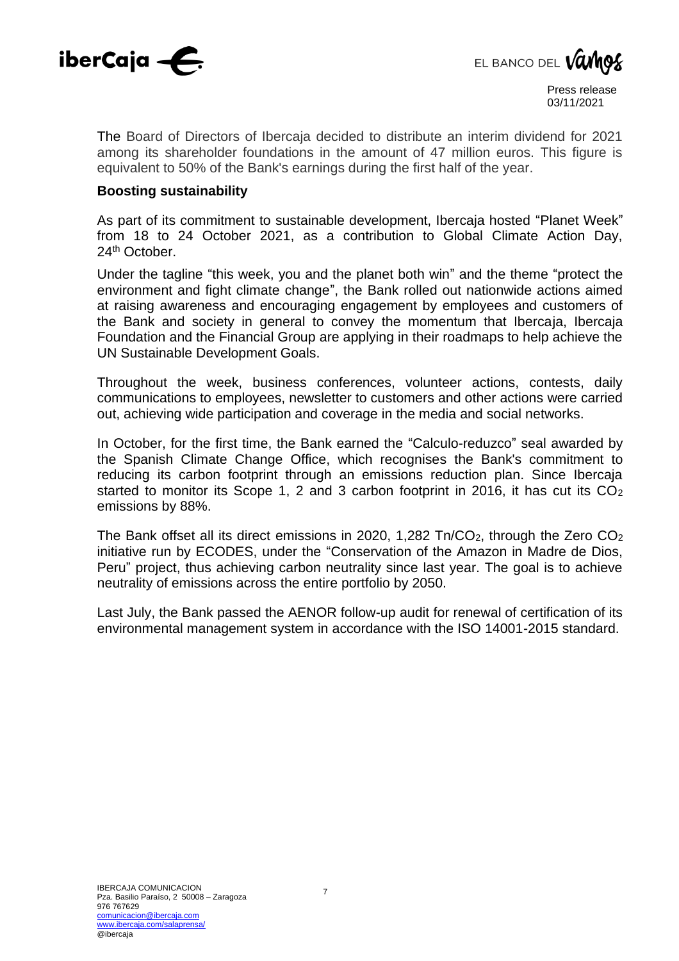



The Board of Directors of Ibercaja decided to distribute an interim dividend for 2021 among its shareholder foundations in the amount of 47 million euros. This figure is equivalent to 50% of the Bank's earnings during the first half of the year.

#### **Boosting sustainability**

As part of its commitment to sustainable development, Ibercaja hosted "Planet Week" from 18 to 24 October 2021, as a contribution to Global Climate Action Day, 24<sup>th</sup> October.

Under the tagline "this week, you and the planet both win" and the theme "protect the environment and fight climate change", the Bank rolled out nationwide actions aimed at raising awareness and encouraging engagement by employees and customers of the Bank and society in general to convey the momentum that Ibercaja, Ibercaja Foundation and the Financial Group are applying in their roadmaps to help achieve the UN Sustainable Development Goals.

Throughout the week, business conferences, volunteer actions, contests, daily communications to employees, newsletter to customers and other actions were carried out, achieving wide participation and coverage in the media and social networks.

In October, for the first time, the Bank earned the "Calculo-reduzco" seal awarded by the Spanish Climate Change Office, which recognises the Bank's commitment to reducing its carbon footprint through an emissions reduction plan. Since Ibercaja started to monitor its Scope 1, 2 and 3 carbon footprint in 2016, it has cut its  $CO<sub>2</sub>$ emissions by 88%.

The Bank offset all its direct emissions in 2020, 1,282  $\text{Tr}/\text{CO}_2$ , through the Zero  $\text{CO}_2$ initiative run by ECODES, under the "Conservation of the Amazon in Madre de Dios, Peru" project, thus achieving carbon neutrality since last year. The goal is to achieve neutrality of emissions across the entire portfolio by 2050.

Last July, the Bank passed the AENOR follow-up audit for renewal of certification of its environmental management system in accordance with the ISO 14001-2015 standard.

7